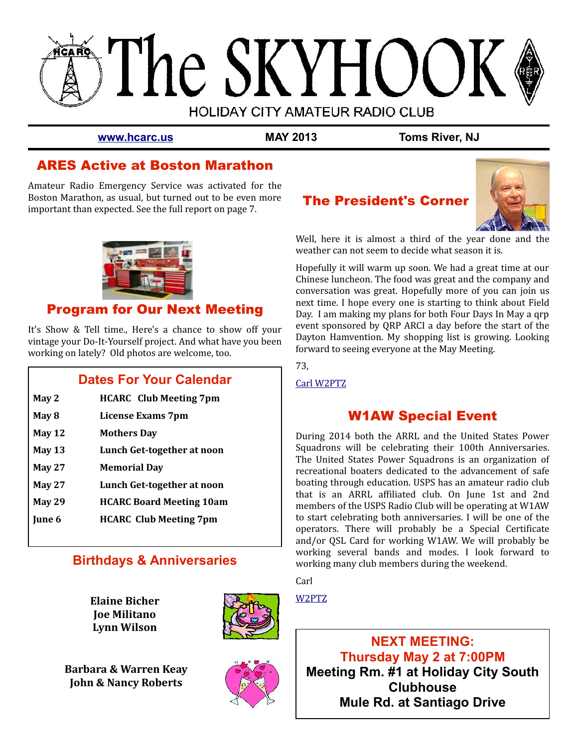

**[www.hcarc.us](http://www.hcarc.us/) MAY 2013 Toms River, NJ**

# ARES Active at Boston Marathon

Amateur Radio Emergency Service was activated for the Boston Marathon, as usual, but turned out to be even more important than expected. See the full report on page 7.



# Program for Our Next Meeting

It's Show & Tell time., Here's a chance to show off your vintage your Do-It-Yourself project. And what have you been working on lately? Old photos are welcome, too.

## **Dates For Your Calendar**

- **May 2 HCARC Club Meeting 7pm**
- **May 8 License Exams 7pm**
- **May 12 Mothers Day**
- **May 13 Lunch Get-together at noon**
- **May 27 Memorial Day**
- **May 27 Lunch Get-together at noon**
- **May 29 HCARC Board Meeting 10am**
- **June 6 HCARC Club Meeting 7pm**

## **Birthdays & Anniversaries**

**Elaine Bicher Joe Militano Lynn Wilson**



**Barbara & Warren Keay John & Nancy Roberts**



# The President's Corner



Well, here it is almost a third of the year done and the weather can not seem to decide what season it is.

Hopefully it will warm up soon. We had a great time at our Chinese luncheon. The food was great and the company and conversation was great. Hopefully more of you can join us next time. I hope every one is starting to think about Field Day. I am making my plans for both Four Days In May a qrp event sponsored by QRP ARCI a day before the start of the Dayton Hamvention. My shopping list is growing. Looking forward to seeing everyone at the May Meeting.

73,

[Carl W2PTZ](mailto:W2PTZ@arrl.net)

# W1AW Special Event

During 2014 both the ARRL and the United States Power Squadrons will be celebrating their 100th Anniversaries. The United States Power Squadrons is an organization of recreational boaters dedicated to the advancement of safe boating through education. USPS has an amateur radio club that is an ARRL affiliated club. On June 1st and 2nd members of the USPS Radio Club will be operating at W1AW to start celebrating both anniversaries. I will be one of the operators. There will probably be a Special Certificate and/or QSL Card for working W1AW. We will probably be working several bands and modes. I look forward to working many club members during the weekend.

**Carl** 

[W2PTZ](mailto:W2PTZ@arrl.net)

**NEXT MEETING: Thursday May 2 at 7:00PM Meeting Rm. #1 at Holiday City South Clubhouse Mule Rd. at Santiago Drive**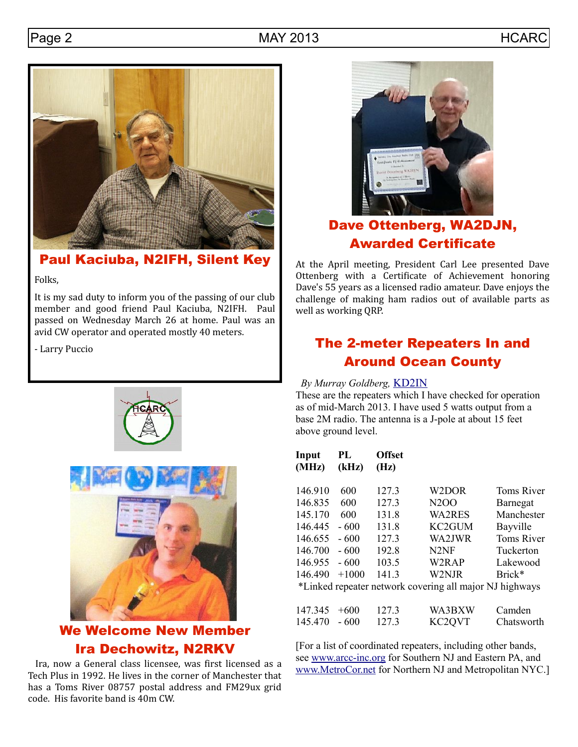



Paul Kaciuba, N2IFH, Silent Key

Folks,

It is my sad duty to inform you of the passing of our club member and good friend Paul Kaciuba, N2IFH. Paul passed on Wednesday March 26 at home. Paul was an avid CW operator and operated mostly 40 meters.

- Larry Puccio





# We Welcome New Member Ira Dechowitz, N2RKV

 Ira, now a General class licensee, was first licensed as a Tech Plus in 1992. He lives in the corner of Manchester that has a Toms River 08757 postal address and FM29ux grid code. His favorite band is 40m CW.



# Dave Ottenberg, WA2DJN, Awarded Certificate

At the April meeting, President Carl Lee presented Dave Ottenberg with a Certificate of Achievement honoring Dave's 55 years as a licensed radio amateur. Dave enjoys the challenge of making ham radios out of available parts as well as working QRP.

# The 2-meter Repeaters In and Around Ocean County

## *By Murray Goldberg,* [KD2IN](mailto:KD2IN@arrl.net)

These are the repeaters which I have checked for operation as of mid-March 2013. I have used 5 watts output from a base 2M radio. The antenna is a J-pole at about 15 feet above ground level.

| Input<br>(MHz) | PL<br>(kHz) | <b>Offset</b><br>(Hz) |                                                         |                   |
|----------------|-------------|-----------------------|---------------------------------------------------------|-------------------|
| 146.910        | 600         | 127.3                 | W2DOR                                                   | <b>Toms River</b> |
| 146.835        | 600         | 127.3                 | N <sub>2</sub> O <sub>O</sub>                           | Barnegat          |
| 145.170        | 600         | 131.8                 | <b>WA2RES</b>                                           | Manchester        |
| 146.445        | $-600$      | 131.8                 | KC <sub>2</sub> GUM                                     | Bayville          |
| 146.655        | $-600$      | 127.3                 | WA2JWR                                                  | <b>Toms River</b> |
| 146.700        | $-600$      | 192.8                 | N <sub>2</sub> NF                                       | Tuckerton         |
| 146.955        | $-600$      | 103.5                 | W2RAP                                                   | Lakewood          |
| 146.490        | $+1000$     | 141.3                 | W2NJR                                                   | Brick*            |
|                |             |                       | *Linked repeater network covering all major NJ highways |                   |
| 147.345        | $+600$      | 127.3                 | WA3BXW                                                  | Camden            |
| 145.470        | - 600       | 127.3                 | KC <sub>2</sub> QVT                                     | Chatsworth        |

[For a list of coordinated repeaters, including other bands, see [www.arcc-inc.org](http://www.arcc-inc.org/) for Southern NJ and Eastern PA, and [www.MetroCor.net](http://www.MetroCor.net/) for Northern NJ and Metropolitan NYC.]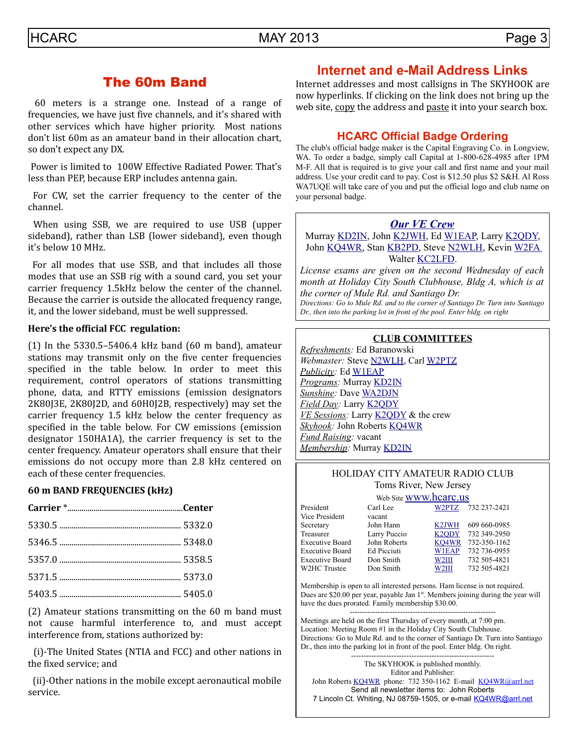## The 60m Band

 60 meters is a strange one. Instead of a range of frequencies, we have just five channels, and it's shared with other services which have higher priority. Most nations don't list 60m as an amateur band in their allocation chart, so don't expect any DX.

 Power is limited to 100W Effective Radiated Power. That's less than PEP, because ERP includes antenna gain.

 For CW, set the carrier frequency to the center of the channel.

 When using SSB, we are required to use USB (upper sideband), rather than LSB (lower sideband), even though it's below 10 MHz.

 For all modes that use SSB, and that includes all those modes that use an SSB rig with a sound card, you set your carrier frequency 1.5kHz below the center of the channel. Because the carrier is outside the allocated frequency range, it, and the lower sideband, must be well suppressed.

#### **Here's the official FCC regulation:**

(1) In the 5330.5–5406.4 kHz band (60 m band), amateur stations may transmit only on the five center frequencies specified in the table below. In order to meet this requirement, control operators of stations transmitting phone, data, and RTTY emissions (emission designators 2K80J3E, 2K80J2D, and 60H0J2B, respectively) may set the carrier frequency 1.5 kHz below the center frequency as specified in the table below. For CW emissions (emission designator 150HA1A), the carrier frequency is set to the center frequency. Amateur operators shall ensure that their emissions do not occupy more than 2.8 kHz centered on each of these center frequencies.

#### **60 m BAND FREQUENCIES (kHz)**

(2) Amateur stations transmitting on the 60 m band must not cause harmful interference to, and must accept interference from, stations authorized by:

 (i)-The United States (NTIA and FCC) and other nations in the fixed service; and

 (ii)-Other nations in the mobile except aeronautical mobile service.

## **Internet and e-Mail Address Links**

Internet addresses and most callsigns in The SKYHOOK are now hyperlinks. If clicking on the link does not bring up the web site, copy the address and paste it into your search box.

## **HCARC Official Badge Ordering**

The club's official badge maker is the Capital Engraving Co. in Longview, WA. To order a badge, simply call Capital at 1-800-628-4985 after 1PM M-F. All that is required is to give your call and first name and your mail address. Use your credit card to pay. Cost is \$12.50 plus \$2 S&H. Al Ross WA7UQE will take care of you and put the official logo and club name on your personal badge.

#### *[Our VE Crew](mailto:lpuccio1@comcast.net?subject=VE)*

Murray [KD2IN,](mailto:kd2in@arrl.net) John [K2JWH,](mailto:johnhinbarnegat@gmail.com) Ed [W1EAP,](mailto:epicciuti@hotmail.com) Larry [K2QDY,](mailto:lpuccio1@comcast.net) John [KQ4WR,](mailto:kq4wr@arrl.net) Stan [KB2PD,](mailto:kb2pd@arrl.net) Steve [N2WLH,](mailto:n2wlh@arrl.net) Kevin [W2FA](mailto:w2fa.kgw@gmail.com) Walter **KC2LFD**.

*License exams are given on the second Wednesday of each month at Holiday City South Clubhouse, Bldg A, which is at the corner of Mule Rd. and Santiago Dr.*

*Directions: Go to Mule Rd. and to the corner of Santiago Dr. Turn into Santiago Dr., then into the parking lot in front of the pool. Enter bldg. on right*

#### **CLUB COMMITTEES**

*Refreshments:* Ed Baranowski *Webmaster:* Steve [N2WLH,](mailto:n2wlh@arrl.net) Carl [W2PTZ](mailto:w2ptz@arrl.net) *Publicity:* Ed [W1EAP](mailto:epicciuti@hotmail.com) *Programs:* Murray [KD2IN](mailto:kd2in@arrl.net) *Sunshine:* Dave [WA2DJN](mailto:wa2djn3@verizon.net) *Field Day:* Larry [K2QDY](mailto:lpuccio1@comcast.net) *VE Sessions:* Larry [K2QDY](mailto:lpuccio1@comcast.net) & the crew *Skyhook:* John Roberts [KQ4WR](mailto:kq4wr@arrl.net) *Fund Raising:* vacant *Membership:* Murray [KD2IN](mailto:kd2in@arrl.net)

#### HOLIDAY CITY AMATEUR RADIO CLUB Toms River, New Jersey

|                        | Web Site <b>WWW.hcarc.us</b> |                    |              |  |  |  |
|------------------------|------------------------------|--------------------|--------------|--|--|--|
| President              | Carl Lee                     | W2PTZ              | 732 237-2421 |  |  |  |
| Vice President         | vacant                       |                    |              |  |  |  |
| Secretary              | John Hann                    | K <sub>2</sub> JWH | 609 660-0985 |  |  |  |
| Treasurer              | Larry Puccio                 | K <sub>2</sub> ODY | 732 349-2950 |  |  |  |
| <b>Executive Board</b> | John Roberts                 | KO4WR              | 732-350-1162 |  |  |  |
| <b>Executive Board</b> | Ed Picciuti                  | <b>W1EAP</b>       | 732 736-0955 |  |  |  |
| Executive Board        | Don Smith                    | W <sub>2III</sub>  | 732 505-4821 |  |  |  |
| W2HC Trustee           | Don Smith                    | W2III              | 732 505-4821 |  |  |  |
|                        |                              |                    |              |  |  |  |

Membership is open to all interested persons. Ham license is not required. Dues are \$20.00 per year, payable Jan 1<sup>st</sup>. Members joining during the year will have the dues prorated. Family membership \$30.00.

---------------------------------------------------------- Meetings are held on the first Thursday of every month, at 7:00 pm. Location: Meeting Room #1 in the Holiday City South Clubhouse. Directions: Go to Mule Rd. and to the corner of Santiago Dr. Turn into Santiago Dr., then into the parking lot in front of the pool. Enter bldg. On right.

--------------------------------------------------------- The SKYHOOK is published monthly. Editor and Publisher: John Roberts [KQ4WR](mailto:kq4wr@arrl.net) phone: 732 350-1162 E-mail [KQ4WR@arrl.net](mailto:KQ4WR@arrl.net) Send all newsletter items to: John Roberts 7 Lincoln Ct. Whiting, NJ 08759-1505, or e-mail [KQ4WR@arrl.net](mailto:KQ4WR@arrl.net)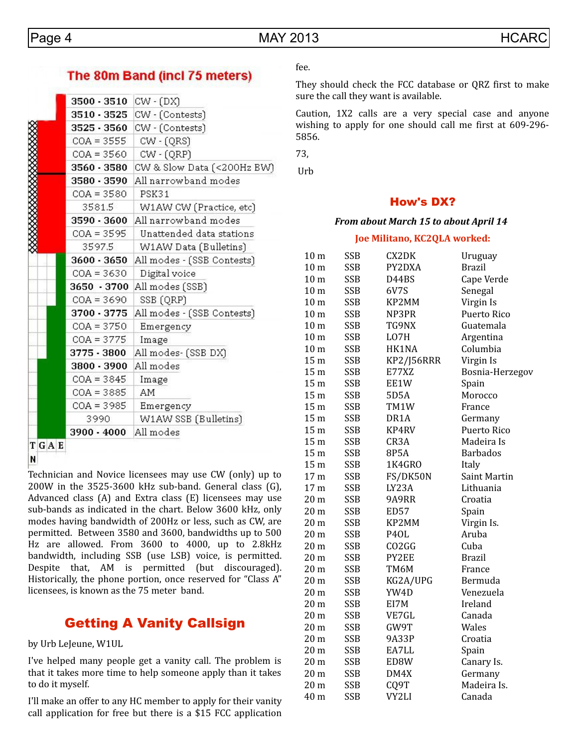## The 80m Band (incl 75 meters)

|      | 3500 - 3510  | CW - (DX)                  |  |  |  |  |
|------|--------------|----------------------------|--|--|--|--|
|      | 3510 - 3525  | CW - (Contests)            |  |  |  |  |
|      | 3525 - 3560  | CW - (Contests)            |  |  |  |  |
|      | $COA = 3555$ | $CW - (QRS)$               |  |  |  |  |
|      | $COA = 3560$ | $CW - (QRP)$               |  |  |  |  |
|      | 3560 - 3580  | CW & Slow Data (<200Hz BW) |  |  |  |  |
|      | 3580 - 3590  | All narrowband modes       |  |  |  |  |
|      | $COA = 3580$ | <b>PSK31</b>               |  |  |  |  |
|      | 3581.5       | W1AW CW (Practice, etc)    |  |  |  |  |
|      | 3590 - 3600  | All narrowband modes       |  |  |  |  |
|      | $COA = 3595$ | Unattended data stations   |  |  |  |  |
|      | 3597.5       | W1AW Data (Bulletins)      |  |  |  |  |
|      | 3600 - 3650  | All modes - (SSB Contests) |  |  |  |  |
|      | $COA = 3630$ | Digital voice              |  |  |  |  |
|      | 3650 - 3700  | All modes (SSB)            |  |  |  |  |
|      | $COA = 3690$ | SSB (QRP)                  |  |  |  |  |
|      | 3700 - 3775  | All modes - (SSB Contests) |  |  |  |  |
|      | $COA = 3750$ | Emergency                  |  |  |  |  |
|      | $COA = 3775$ | Image                      |  |  |  |  |
|      | 3775 - 3800  | All modes- (SSB DX)        |  |  |  |  |
|      | 3800 - 3900  | All modes                  |  |  |  |  |
|      | $COA = 3845$ | Image                      |  |  |  |  |
|      | $COA = 3885$ | AM                         |  |  |  |  |
|      | $COA = 3985$ | Emergency                  |  |  |  |  |
|      | 3990.        | W1AW SSB (Bulletins)       |  |  |  |  |
|      | 3900 - 4000  | All modes                  |  |  |  |  |
| TGAE |              |                            |  |  |  |  |

N

Technician and Novice licensees may use CW (only) up to 200W in the 3525-3600 kHz sub-band. General class (G), Advanced class (A) and Extra class (E) licensees may use sub-bands as indicated in the chart. Below 3600 kHz, only modes having bandwidth of 200Hz or less, such as CW, are permitted. Between 3580 and 3600, bandwidths up to 500 Hz are allowed. From 3600 to 4000, up to 2.8kHz bandwidth, including SSB (use LSB) voice, is permitted. Despite that, AM is permitted (but discouraged). Historically, the phone portion, once reserved for "Class A" licensees, is known as the 75 meter band.

## Getting A Vanity Callsign

by Urb LeJeune, W1UL

I've helped many people get a vanity call. The problem is that it takes more time to help someone apply than it takes to do it myself.

I'll make an offer to any HC member to apply for their vanity call application for free but there is a \$15 FCC application

## fee.

They should check the FCC database or QRZ first to make sure the call they want is available.

Caution, 1X2 calls are a very special case and anyone wishing to apply for one should call me first at 609-296- 5856.

73,

Urb

## How's DX?

#### *From about March 15 to about April 14*

#### **Joe Militano, KC2QLA worked:**

| 10 <sub>m</sub> | <b>SSB</b> | CX2DK             | Uruguay         |
|-----------------|------------|-------------------|-----------------|
| 10 <sub>m</sub> | <b>SSB</b> | PY2DXA            | <b>Brazil</b>   |
| 10 <sub>m</sub> | <b>SSB</b> | D44BS             | Cape Verde      |
| 10 <sub>m</sub> | <b>SSB</b> | 6V7S              | Senegal         |
| 10 <sub>m</sub> | <b>SSB</b> | KP2MM             | Virgin Is       |
| 10 <sub>m</sub> | <b>SSB</b> | NP3PR             | Puerto Rico     |
| 10 <sub>m</sub> | <b>SSB</b> | TG9NX             | Guatemala       |
| 10 <sub>m</sub> | <b>SSB</b> | LO7H              | Argentina       |
| 10 <sub>m</sub> | <b>SSB</b> | HK1NA             | Columbia        |
| 15 <sub>m</sub> | <b>SSB</b> | KP2/J56RRR        | Virgin Is       |
| 15 <sub>m</sub> | <b>SSB</b> | E77XZ             | Bosnia-Herzegov |
| 15 <sub>m</sub> | <b>SSB</b> | EE1W              | Spain           |
| 15 <sub>m</sub> | <b>SSB</b> | 5D5A              | Morocco         |
| 15 <sub>m</sub> | <b>SSB</b> | TM1W              | France          |
| 15 <sub>m</sub> | <b>SSB</b> | DR <sub>1</sub> A | Germany         |
| 15 <sub>m</sub> | <b>SSB</b> | KP4RV             | Puerto Rico     |
| 15 <sub>m</sub> | <b>SSB</b> | CR3A              | Madeira Is      |
| 15 <sub>m</sub> | <b>SSB</b> | 8P5A              | Barbados        |
| 15 <sub>m</sub> | <b>SSB</b> | 1K4GRO            | Italy           |
| 17 <sub>m</sub> | <b>SSB</b> | FS/DK50N          | Saint Martin    |
| 17 <sub>m</sub> | <b>SSB</b> | LY23A             | Lithuania       |
| 20 <sub>m</sub> | <b>SSB</b> | 9A9RR             | Croatia         |
| 20 <sub>m</sub> | <b>SSB</b> | <b>ED57</b>       | Spain           |
| 20 m            | SSB        | KP2MM             | Virgin Is.      |
| 20 m            | <b>SSB</b> | P <sub>4</sub> OL | Aruba           |
| 20 m            | <b>SSB</b> | CO2GG             | Cuba            |
| 20 m            | <b>SSB</b> | PY2EE             | <b>Brazil</b>   |
| 20 <sub>m</sub> | <b>SSB</b> | TM6M              | France          |
| 20 <sub>m</sub> | <b>SSB</b> | KG2A/UPG          | Bermuda         |
| 20 <sub>m</sub> | <b>SSB</b> | YW4D              | Venezuela       |
| 20 <sub>m</sub> | <b>SSB</b> | EI7M              | Ireland         |
| 20 <sub>m</sub> | <b>SSB</b> | VE7GL             | Canada          |
| 20 m            | <b>SSB</b> | GW9T              | Wales           |
| 20 m            | <b>SSB</b> | 9A33P             | Croatia         |
| 20 <sub>m</sub> | <b>SSB</b> | EA7LL             | Spain           |
| 20 <sub>m</sub> | <b>SSB</b> | ED8W              | Canary Is.      |
| 20 <sub>m</sub> | <b>SSB</b> | DM4X              | Germany         |
| 20 <sub>m</sub> | <b>SSB</b> | CQ9T              | Madeira Is.     |
| 40 m            | <b>SSB</b> | VY2LI             | Canada          |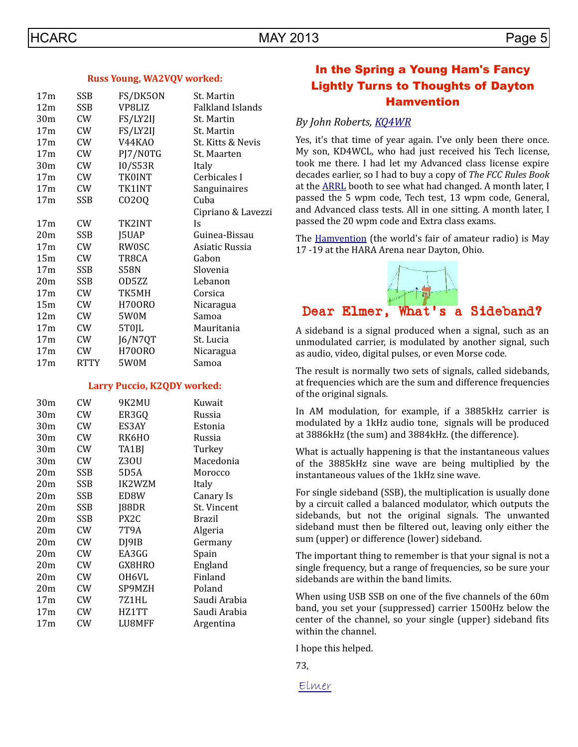| 17 <sub>m</sub> | <b>SSB</b> | FS/DK50N      | St. Martin              |
|-----------------|------------|---------------|-------------------------|
| 12m             | SSB        | VP8LIZ        | <b>Falkland Islands</b> |
| 30m             | <b>CW</b>  | FS/LY2IJ      | St. Martin              |
| 17 <sub>m</sub> | CW         | FS/LY2IJ      | St. Martin              |
| 17 <sub>m</sub> | CW         | V44KA0        | St. Kitts & Nevis       |
| 17m             | CW         | PJ7/NOTG      | St. Maarten             |
| 30m             | CW         | 10/S53R       | Italy                   |
| 17 <sub>m</sub> | CW         | <b>TK0INT</b> | Cerbicales I            |
| 17 <sub>m</sub> | CW         | TK1INT        | Sanguinaires            |
| 17 <sub>m</sub> | <b>SSB</b> | CO20Q         | Cuba                    |
|                 |            |               | Cipriano & Lavezzi      |
| 17 <sub>m</sub> | <b>CW</b>  | TK2INT        | Is                      |
| 20m             | <b>SSB</b> | J5UAP         | Guinea-Bissau           |
| 17 <sub>m</sub> | CW         | <b>RW0SC</b>  | Asiatic Russia          |
| 15m             | CW         | TR8CA         | Gabon                   |
| 17 <sub>m</sub> | SSB        | S58N          | Slovenia                |
| 20 <sub>m</sub> | SSB        | OD5ZZ         | Lebanon                 |
| 17 <sub>m</sub> | <b>CW</b>  | TK5MH         | Corsica                 |
| 15m             | CW         | <b>H700RO</b> | Nicaragua               |
| 12m             | <b>CW</b>  | 5W0M          | Samoa                   |
| 17 <sub>m</sub> | <b>CW</b>  | 5T0JL         | Mauritania              |
| 17 <sub>m</sub> | CW         | J6/N7QT       | St. Lucia               |
| 17m             | CW         | <b>H700R0</b> | Nicaragua               |
| 17 <sub>m</sub> | RTTY       | 5W0M          | Samoa                   |

#### **Larry Puccio, K2QDY worked:**

| CW         | 9K2MU  | Kuwait       |
|------------|--------|--------------|
| CW         | ER3GQ  | Russia       |
| CW         | ES3AY  | Estonia      |
| CW         | RK6HO  | Russia       |
| CW         | TA1BJ  | Turkey       |
| CW         | Z30U   | Macedonia    |
| SSB        | 5D5A   | Morocco      |
| SSB        | IK2WZM | Italy        |
| SSB        | ED8W   | Canary Is    |
| SSB        | J88DR  | St. Vincent  |
| <b>SSB</b> | PX2C   | Brazil       |
| CW         | 7T9A   | Algeria      |
| CW         | DJ9IB  | Germany      |
| CW         | EA3GG  | Spain        |
| CW         | GX8HRO | England      |
| CW         | OH6VL  | Finland      |
| CW         | SP9MZH | Poland       |
| CW         | 7Z1HL  | Saudi Arabia |
| CW         | HZ1TT  | Saudi Arabia |
| CW         | LU8MFF | Argentina    |
|            |        |              |

## In the Spring a Young Ham's Fancy Lightly Turns to Thoughts of Dayton Hamvention

#### *By John Roberts, [KQ4WR](mailto:KQ4WR@arrl.net)*

Yes, it's that time of year again. I've only been there once. My son, KD4WCL, who had just received his Tech license, took me there. I had let my Advanced class license expire decades earlier, so I had to buy a copy of *The FCC Rules Book* at the [ARRL](http://www.arrl.org/) booth to see what had changed. A month later, I passed the 5 wpm code, Tech test, 13 wpm code, General, and Advanced class tests. All in one sitting. A month later, I passed the 20 wpm code and Extra class exams.

The [Hamvention](http://www.hamvention.org/) (the world's fair of amateur radio) is May 17 -19 at the HARA Arena near Dayton, Ohio.



A sideband is a signal produced when a signal, such as an unmodulated carrier, is modulated by another signal, such as audio, video, digital pulses, or even Morse code.

The result is normally two sets of signals, called sidebands, at frequencies which are the sum and difference frequencies of the original signals.

In AM modulation, for example, if a 3885kHz carrier is modulated by a 1kHz audio tone, signals will be produced at 3886kHz (the sum) and 3884kHz. (the difference).

What is actually happening is that the instantaneous values of the 3885kHz sine wave are being multiplied by the instantaneous values of the 1kHz sine wave.

For single sideband (SSB), the multiplication is usually done by a circuit called a balanced modulator, which outputs the sidebands, but not the original signals. The unwanted sideband must then be filtered out, leaving only either the sum (upper) or difference (lower) sideband.

The important thing to remember is that your signal is not a single frequency, but a range of frequencies, so be sure your sidebands are within the band limits.

When using USB SSB on one of the five channels of the 60m band, you set your (suppressed) carrier 1500Hz below the center of the channel, so your single (upper) sideband fits within the channel.

I hope this helped.

73,

[Elmer](mailto:KQ4WR@arrl.net)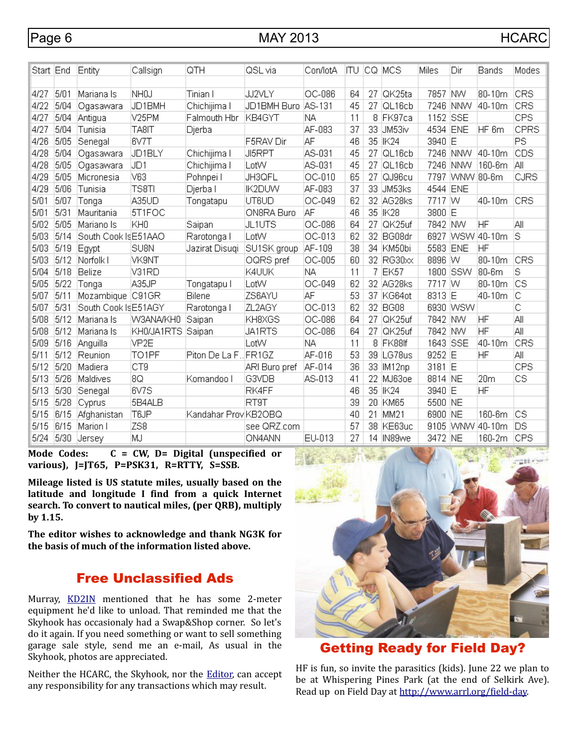| Start  End |      | Entity               | Callsign           | QTH                  | QSL via       | Con/lotA  | ITU |    | ICQ MCS          | Miles    | Dir        | Bands           | Modes      |
|------------|------|----------------------|--------------------|----------------------|---------------|-----------|-----|----|------------------|----------|------------|-----------------|------------|
|            |      |                      |                    |                      |               |           |     |    |                  |          |            |                 |            |
| 4/27       | 5/01 | Mariana Is           | NH <sub>O</sub> J  | Tinian I             | JJ2VLY        | OC-086    | 64  | 27 | QK25ta           | 7857     | .<br>NW    | 80-10m          | <b>CRS</b> |
| 4/22       | 5/04 | Ogasawara            | JD1BMH             | Chichijima I         | JD1BMH Buro   | AS-131    | 45  | 27 | QL16cb           | 7246     | INNW.      | 40-10m          | <b>CRS</b> |
| 4/27       | 5/04 | Antigua              | V <sub>25</sub> PM | Falmouth Hbr         | KB4GYT        | ΝA        | 11  | 8  | FK97ca           | 1152     | <b>SSE</b> |                 | CPS        |
| 4/27       | 5/04 | Tunisia              | TA8IT              | Djerba               |               | AF-083    | 37  | 33 | JM53iv           | 4534 ENE |            | HF 6m           | CPRS       |
| 4/26       | 5/05 | Senegal              | 6V7T               |                      | F5RAV Dir     | ΙAΕ       | 46  | 35 | IK24             | 3940 E   |            |                 | PS         |
| 4/28       | 5/04 | Ogasawara            | JD1BLY             | Chichijima I         | <b>JI5RPT</b> | AS-031    | 45  | 27 | QL16cb           | 7246     | <b>NNW</b> | 40-10m          | CDS        |
| 4/28       | 5/05 | Ogasawara            | JD <sub>1</sub>    | Chichijima I         | LotW          | AS-031    | 45  | 27 | QL16cb           |          | 7246 NNW   | 160-6m          | ΙAΙΙ       |
| 4/29       | 5/05 | Micronesia           | V63                | Pohnpei I            | JH3QFL        | OC-010    | 65  | 27 | QJ96cu           | 7797     | WNW 80-6m  |                 | CJRS       |
| 4/29       | 5/06 | Tunisia              | TS8TI              | Djerba l             | <b>IK2DUW</b> | AF-083    | 37  | 33 | UM53ks           | 4544     | ENE        |                 |            |
| 5/01       | 5/07 | Tonga                | A35UD              | Tongatapu            | UT6UD         | OC-049    | 62  | 32 | AG28ks           | 7717 W   |            | 40-10m          | CRS        |
| 5/01       | 5/31 | Mauritania           | 5T1FOC             |                      | ON8RA Buro    | ΆF        | 46  | 35 | $ $ IK28         | 3800 E   |            |                 |            |
| 5/02       | 5/05 | Mariano Is           | KH0                | Saipan               | UL1UTS        | OC-086    | 64  | 27 | QK25uf           | 7842 NW  |            | HF              | Αll        |
| 5/03       | 5/14 | South Cook Is E51AAO |                    | Rarotonga I          | LotW          | OC-013    | 62  | 32 | BG08dr           | 6927     |            | WSW 40-10m      | S          |
| 5/03       | 5/19 | Egypt                | SU <sub>8N</sub>   | Jazirat Disugi       | SU1SK group   | AF-109    | 38  | 34 | KM50bi           | 5583     | ENE        | HF              |            |
| 5/03       | 5/12 | Norfolk I            | VK9NT              |                      | OQRS pref     | OC-005    | 60  | 32 | RG30xx           | 8896     | w          | 80-10m          | <b>CRS</b> |
| 5/04       | 5/18 | Belize               | V31RD              |                      | K4UUK         | <b>NA</b> | 11  | 7  | EK <sub>57</sub> | 1800     | <b>SSW</b> | 80-6m           | S          |
| 5/05       | 5/22 | Tonga                | A35JP              | Tongatapu I          | LotW          | OC-049    | 62  | 32 | AG28ks           | 7717 W   |            | 80-10m          | lcs        |
| 5/07       | 5/11 | Mozambique           | C91GR              | Bilene               | ZS6AYU        | ΑF        | 53  | 37 | KG64ot           | 8313 E   |            | 40-10m          | IC         |
| 5/07       | 5/31 | South Cook Is E51AGY |                    | Rarotonga I          | ZL2AGY        | OC-013    | 62  | 32 | BG08             |          | 6930 WSW   |                 | Ċ          |
| 5/08       | 5/12 | Mariana Is           | W3ANA/KH0          | Saipan               | KH8XGS        | OC-086    | 64  | 27 | QK25uf           | 7842 NW  |            | ΗF              | Αll        |
| 5/08       | 5/12 | Mariana Is           | KH0/JA1RTS         | Saipan               | JA1RTS        | OC-086    | 64  | 27 | QK25uf           | 7842 NW  |            | HF              | Αll        |
| 5/09       | 5/16 | Anguilla             | VP <sub>2E</sub>   |                      | LotW          | ΝA        | 11  | 8  | FK88lf           | 1643 SSE |            | 40-10m          | <b>CRS</b> |
| 5/11       | 5/12 | Reunion              | TO <sub>1</sub> PF | Piton De La F FR1GZ  |               | AF-016    | 53  | 39 | LG78us           | 9252 E   |            | HF              | ΑIΙ        |
| 5/12       | 5/20 | Madiera              | CT <sub>9</sub>    |                      | ARI Buro pref | AF-014    | 36  | 33 | IM12np           | 3181 E   |            |                 | <b>CPS</b> |
| 5/13       | 5/26 | Maldives             | 8Q                 | Komandoo I           | G3VDB         | AS-013    | 41  | 22 | MJ63oe           | 8814 NE  |            | 20 <sub>m</sub> | CS.        |
| 5/13       | 5/30 | Senegal              | 6V7S               |                      | <b>RK4FF</b>  |           | 46  | 35 | <b>IK24</b>      | 3940 E   |            | HF              |            |
| 5/15       | 5/28 | Cyprus               | 5B4ALB             |                      | RT9T          |           | 39  | 20 | KM65             | 5500 NE  |            |                 |            |
| 5/15       | 6/15 | Afghanistan          | T <sub>6</sub> JP  | Kandahar Prov KB2OBQ |               |           | 40  | 21 | MM21             | 6900     | <b>NE</b>  | 160-6m          | lcs        |
| 5/15       | 6/15 | Marion I             | ZS8                |                      | see QRZ.com   |           | 57  | 38 | KE63uc           | 9105     |            | WNW 40-10m      | DS         |
| 5/24       | 5/30 | <b>Jersey</b>        | MJ                 |                      | <b>ON4ANN</b> | EU-013    | 27  |    | 14 IN89we        | 3472 NE  |            | 160-2m          | <b>CPS</b> |

**Mode Codes: C = CW, D= Digital (unspecified or various), J=JT65, P=PSK31, R=RTTY, S=SSB.**

**Mileage listed is US statute miles, usually based on the latitude and longitude I find from a quick Internet search. To convert to nautical miles, (per QRB), multiply by 1.15.**

**The editor wishes to acknowledge and thank NG3K for the basis of much of the information listed above.**

## Free Unclassified Ads

Murray, [KD2IN](mailto:KD2IN@arrl.net) mentioned that he has some 2-meter equipment he'd like to unload. That reminded me that the Skyhook has occasionaly had a Swap&Shop corner. So let's do it again. If you need something or want to sell something garage sale style, send me an e-mail, As usual in the Skyhook, photos are appreciated.

Neither the HCARC, the Skyhook, nor the [Editor,](mailto:KQ4WR@arrl.net) can accept any responsibility for any transactions which may result.



## Getting Ready for Field Day?

HF is fun, so invite the parasitics (kids). June 22 we plan to be at Whispering Pines Park (at the end of Selkirk Ave). Read up on Field Day at [http://www.arrl.org/field-day.](http://www.arrl.org/field-day)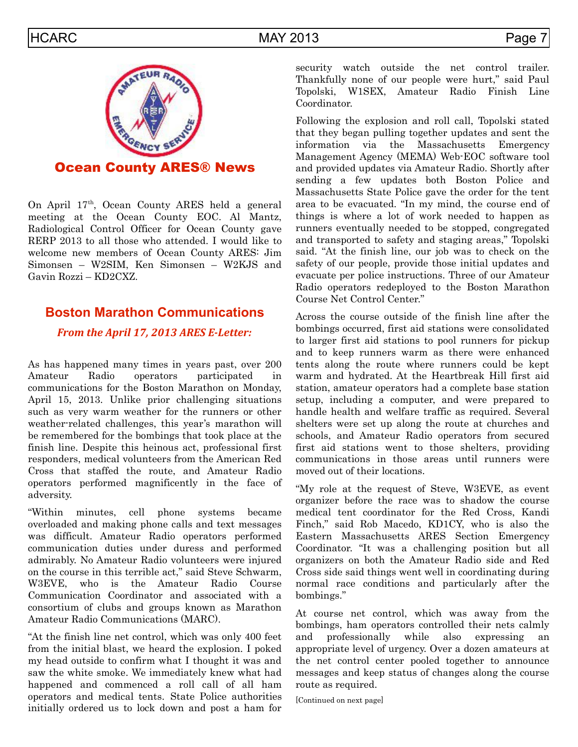

Ocean County ARES® News

On April 17th, Ocean County ARES held a general meeting at the Ocean County EOC. Al Mantz, Radiological Control Officer for Ocean County gave RERP 2013 to all those who attended. I would like to welcome new members of Ocean County ARES: Jim Simonsen – W2SIM, Ken Simonsen – W2KJS and Gavin Rozzi – KD2CXZ.

## **Boston Marathon Communications**

## *From the April 17, 2013 ARES E-Letter:*

As has happened many times in years past, over 200 Amateur Radio operators participated in communications for the Boston Marathon on Monday, April 15, 2013. Unlike prior challenging situations such as very warm weather for the runners or other weather-related challenges, this year's marathon will be remembered for the bombings that took place at the finish line. Despite this heinous act, professional first responders, medical volunteers from the American Red Cross that staffed the route, and Amateur Radio operators performed magnificently in the face of adversity.

"Within minutes, cell phone systems became overloaded and making phone calls and text messages was difficult. Amateur Radio operators performed communication duties under duress and performed admirably. No Amateur Radio volunteers were injured on the course in this terrible act," said Steve Schwarm, W3EVE, who is the Amateur Radio Course Communication Coordinator and associated with a consortium of clubs and groups known as Marathon Amateur Radio Communications (MARC).

"At the finish line net control, which was only 400 feet from the initial blast, we heard the explosion. I poked my head outside to confirm what I thought it was and saw the white smoke. We immediately knew what had happened and commenced a roll call of all ham operators and medical tents. State Police authorities initially ordered us to lock down and post a ham for security watch outside the net control trailer. Thankfully none of our people were hurt," said Paul Topolski, W1SEX, Amateur Radio Finish Line Coordinator.

Following the explosion and roll call, Topolski stated that they began pulling together updates and sent the information via the Massachusetts Emergency Management Agency (MEMA) Web-EOC software tool and provided updates via Amateur Radio. Shortly after sending a few updates both Boston Police and Massachusetts State Police gave the order for the tent area to be evacuated. "In my mind, the course end of things is where a lot of work needed to happen as runners eventually needed to be stopped, congregated and transported to safety and staging areas," Topolski said. "At the finish line, our job was to check on the safety of our people, provide those initial updates and evacuate per police instructions. Three of our Amateur Radio operators redeployed to the Boston Marathon Course Net Control Center."

Across the course outside of the finish line after the bombings occurred, first aid stations were consolidated to larger first aid stations to pool runners for pickup and to keep runners warm as there were enhanced tents along the route where runners could be kept warm and hydrated. At the Heartbreak Hill first aid station, amateur operators had a complete base station setup, including a computer, and were prepared to handle health and welfare traffic as required. Several shelters were set up along the route at churches and schools, and Amateur Radio operators from secured first aid stations went to those shelters, providing communications in those areas until runners were moved out of their locations.

"My role at the request of Steve, W3EVE, as event organizer before the race was to shadow the course medical tent coordinator for the Red Cross, Kandi Finch," said Rob Macedo, KD1CY, who is also the Eastern Massachusetts ARES Section Emergency Coordinator. "It was a challenging position but all organizers on both the Amateur Radio side and Red Cross side said things went well in coordinating during normal race conditions and particularly after the bombings."

At course net control, which was away from the bombings, ham operators controlled their nets calmly and professionally while also expressing an appropriate level of urgency. Over a dozen amateurs at the net control center pooled together to announce messages and keep status of changes along the course route as required.

[Continued on next page]